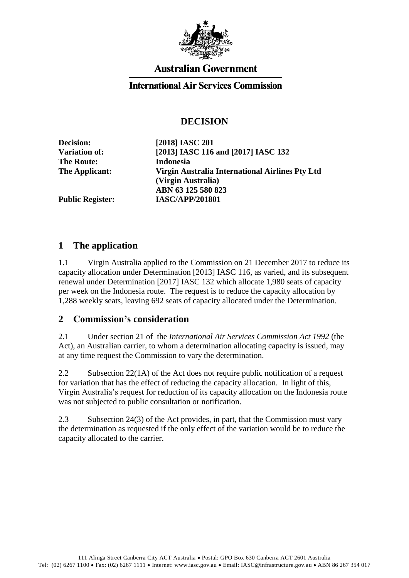

# **Australian Government**

#### **International Air Services Commission**

## **DECISION**

**The Route: Indonesia**

**Decision: [2018] IASC 201 Variation of: [2013] IASC 116 and [2017] IASC 132 The Applicant: Virgin Australia International Airlines Pty Ltd (Virgin Australia) ABN 63 125 580 823 Public Register: IASC/APP/201801**

#### **1 The application**

1.1 Virgin Australia applied to the Commission on 21 December 2017 to reduce its capacity allocation under Determination [2013] IASC 116, as varied, and its subsequent renewal under Determination [2017] IASC 132 which allocate 1,980 seats of capacity per week on the Indonesia route. The request is to reduce the capacity allocation by 1,288 weekly seats, leaving 692 seats of capacity allocated under the Determination.

### **2 Commission's consideration**

2.1 Under section 21 of the *International Air Services Commission Act 1992* (the Act), an Australian carrier, to whom a determination allocating capacity is issued, may at any time request the Commission to vary the determination.

2.2 Subsection 22(1A) of the Act does not require public notification of a request for variation that has the effect of reducing the capacity allocation. In light of this, Virgin Australia's request for reduction of its capacity allocation on the Indonesia route was not subjected to public consultation or notification.

2.3 Subsection 24(3) of the Act provides, in part, that the Commission must vary the determination as requested if the only effect of the variation would be to reduce the capacity allocated to the carrier.